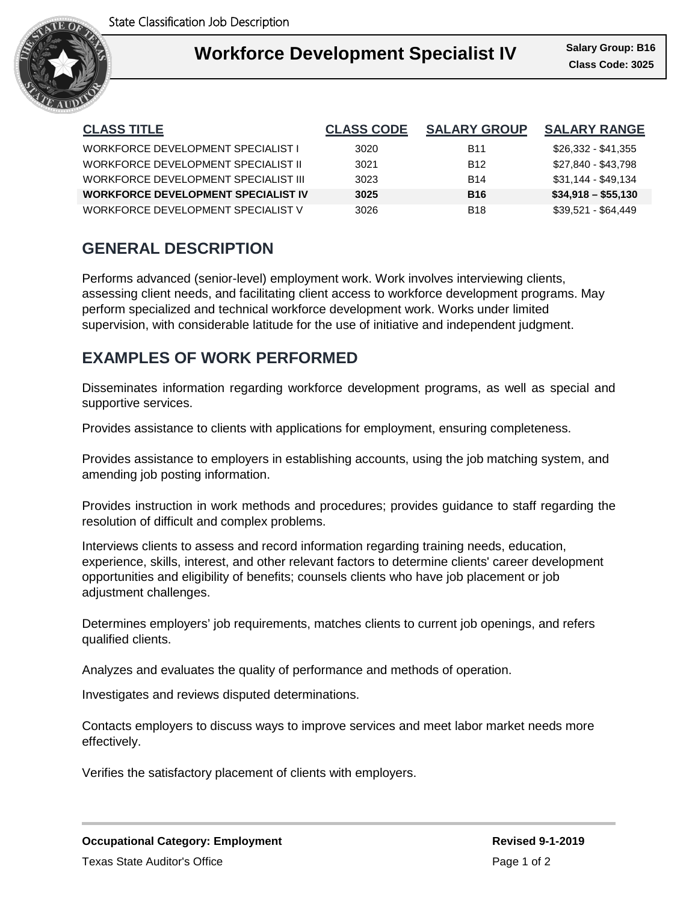

#### **Workforce Development Concerne** Salary Gro I **Workforce Development Specialist IV Class Code: 3025 Class Code: 3025**

**Class Code: 3025 Salary Group: B16**

| <b>CLASS TITLE</b>                         | <b>CLASS CODE</b> | <b>SALARY GROUP</b> | <b>SALARY RANGE</b> |
|--------------------------------------------|-------------------|---------------------|---------------------|
| WORKFORCE DEVELOPMENT SPECIALIST L         | 3020              | B11                 | \$26,332 - \$41,355 |
| WORKFORCE DEVELOPMENT SPECIALIST II        | 3021              | <b>B12</b>          | \$27,840 - \$43,798 |
| WORKFORCE DEVELOPMENT SPECIALIST III       | 3023              | <b>B14</b>          | \$31,144 - \$49,134 |
| <b>WORKFORCE DEVELOPMENT SPECIALIST IV</b> | 3025              | <b>B16</b>          | $$34,918 - $55,130$ |
| WORKFORCE DEVELOPMENT SPECIALIST V         | 3026              | <b>B</b> 18         | \$39,521 - \$64,449 |

# **GENERAL DESCRIPTION**

Performs advanced (senior-level) employment work. Work involves interviewing clients, assessing client needs, and facilitating client access to workforce development programs. May perform specialized and technical workforce development work. Works under limited supervision, with considerable latitude for the use of initiative and independent judgment.

# **EXAMPLES OF WORK PERFORMED**

Disseminates information regarding workforce development programs, as well as special and supportive services.

Provides assistance to clients with applications for employment, ensuring completeness.

Provides assistance to employers in establishing accounts, using the job matching system, and amending job posting information.

Provides instruction in work methods and procedures; provides guidance to staff regarding the resolution of difficult and complex problems.

Interviews clients to assess and record information regarding training needs, education, experience, skills, interest, and other relevant factors to determine clients' career development opportunities and eligibility of benefits; counsels clients who have job placement or job adjustment challenges.

Determines employers' job requirements, matches clients to current job openings, and refers qualified clients.

Analyzes and evaluates the quality of performance and methods of operation.

Investigates and reviews disputed determinations.

Contacts employers to discuss ways to improve services and meet labor market needs more effectively.

Verifies the satisfactory placement of clients with employers.